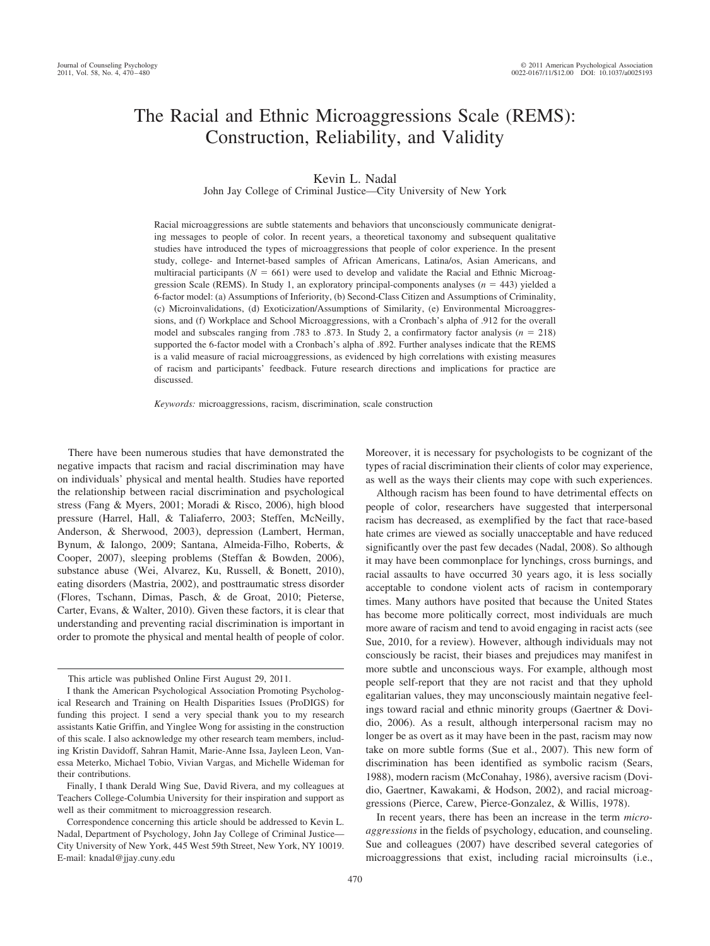# The Racial and Ethnic Microaggressions Scale (REMS): Construction, Reliability, and Validity

## Kevin L. Nadal

John Jay College of Criminal Justice—City University of New York

Racial microaggressions are subtle statements and behaviors that unconsciously communicate denigrating messages to people of color. In recent years, a theoretical taxonomy and subsequent qualitative studies have introduced the types of microaggressions that people of color experience. In the present study, college- and Internet-based samples of African Americans, Latina/os, Asian Americans, and multiracial participants  $(N = 661)$  were used to develop and validate the Racial and Ethnic Microaggression Scale (REMS). In Study 1, an exploratory principal-components analyses  $(n = 443)$  yielded a 6-factor model: (a) Assumptions of Inferiority, (b) Second-Class Citizen and Assumptions of Criminality, (c) Microinvalidations, (d) Exoticization/Assumptions of Similarity, (e) Environmental Microaggressions, and (f) Workplace and School Microaggressions, with a Cronbach's alpha of .912 for the overall model and subscales ranging from .783 to .873. In Study 2, a confirmatory factor analysis (*n* 218) supported the 6-factor model with a Cronbach's alpha of .892. Further analyses indicate that the REMS is a valid measure of racial microaggressions, as evidenced by high correlations with existing measures of racism and participants' feedback. Future research directions and implications for practice are discussed.

*Keywords:* microaggressions, racism, discrimination, scale construction

There have been numerous studies that have demonstrated the negative impacts that racism and racial discrimination may have on individuals' physical and mental health. Studies have reported the relationship between racial discrimination and psychological stress (Fang & Myers, 2001; Moradi & Risco, 2006), high blood pressure (Harrel, Hall, & Taliaferro, 2003; Steffen, McNeilly, Anderson, & Sherwood, 2003), depression (Lambert, Herman, Bynum, & Ialongo, 2009; Santana, Almeida-Filho, Roberts, & Cooper, 2007), sleeping problems (Steffan & Bowden, 2006), substance abuse (Wei, Alvarez, Ku, Russell, & Bonett, 2010), eating disorders (Mastria, 2002), and posttraumatic stress disorder (Flores, Tschann, Dimas, Pasch, & de Groat, 2010; Pieterse, Carter, Evans, & Walter, 2010). Given these factors, it is clear that understanding and preventing racial discrimination is important in order to promote the physical and mental health of people of color.

Moreover, it is necessary for psychologists to be cognizant of the types of racial discrimination their clients of color may experience, as well as the ways their clients may cope with such experiences.

Although racism has been found to have detrimental effects on people of color, researchers have suggested that interpersonal racism has decreased, as exemplified by the fact that race-based hate crimes are viewed as socially unacceptable and have reduced significantly over the past few decades (Nadal, 2008). So although it may have been commonplace for lynchings, cross burnings, and racial assaults to have occurred 30 years ago, it is less socially acceptable to condone violent acts of racism in contemporary times. Many authors have posited that because the United States has become more politically correct, most individuals are much more aware of racism and tend to avoid engaging in racist acts (see Sue, 2010, for a review). However, although individuals may not consciously be racist, their biases and prejudices may manifest in more subtle and unconscious ways. For example, although most people self-report that they are not racist and that they uphold egalitarian values, they may unconsciously maintain negative feelings toward racial and ethnic minority groups (Gaertner & Dovidio, 2006). As a result, although interpersonal racism may no longer be as overt as it may have been in the past, racism may now take on more subtle forms (Sue et al., 2007). This new form of discrimination has been identified as symbolic racism (Sears, 1988), modern racism (McConahay, 1986), aversive racism (Dovidio, Gaertner, Kawakami, & Hodson, 2002), and racial microaggressions (Pierce, Carew, Pierce-Gonzalez, & Willis, 1978).

In recent years, there has been an increase in the term *microaggressions* in the fields of psychology, education, and counseling. Sue and colleagues (2007) have described several categories of microaggressions that exist, including racial microinsults (i.e.,

This article was published Online First August 29, 2011.

I thank the American Psychological Association Promoting Psychological Research and Training on Health Disparities Issues (ProDIGS) for funding this project. I send a very special thank you to my research assistants Katie Griffin, and Yinglee Wong for assisting in the construction of this scale. I also acknowledge my other research team members, including Kristin Davidoff, Sahran Hamit, Marie-Anne Issa, Jayleen Leon, Vanessa Meterko, Michael Tobio, Vivian Vargas, and Michelle Wideman for their contributions.

Finally, I thank Derald Wing Sue, David Rivera, and my colleagues at Teachers College-Columbia University for their inspiration and support as well as their commitment to microaggression research.

Correspondence concerning this article should be addressed to Kevin L. Nadal, Department of Psychology, John Jay College of Criminal Justice— City University of New York, 445 West 59th Street, New York, NY 10019. E-mail: knadal@jjay.cuny.edu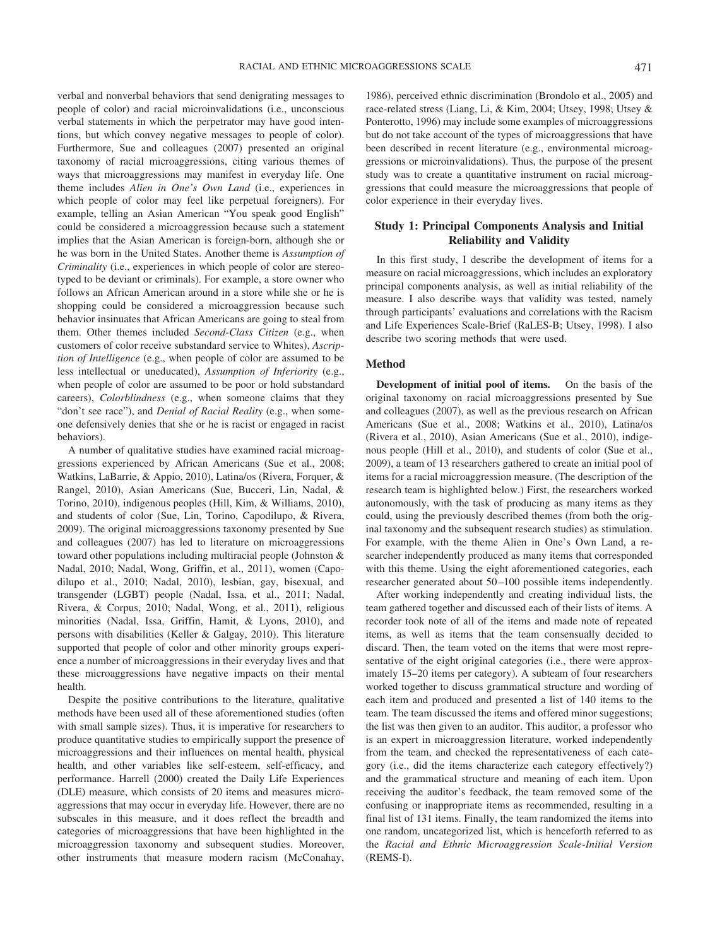verbal and nonverbal behaviors that send denigrating messages to people of color) and racial microinvalidations (i.e., unconscious verbal statements in which the perpetrator may have good intentions, but which convey negative messages to people of color). Furthermore, Sue and colleagues (2007) presented an original taxonomy of racial microaggressions, citing various themes of ways that microaggressions may manifest in everyday life. One theme includes *Alien in One's Own Land* (i.e., experiences in which people of color may feel like perpetual foreigners). For example, telling an Asian American "You speak good English" could be considered a microaggression because such a statement implies that the Asian American is foreign-born, although she or he was born in the United States. Another theme is *Assumption of Criminality* (i.e., experiences in which people of color are stereotyped to be deviant or criminals). For example, a store owner who follows an African American around in a store while she or he is shopping could be considered a microaggression because such behavior insinuates that African Americans are going to steal from them. Other themes included *Second-Class Citizen* (e.g., when customers of color receive substandard service to Whites), *Ascription of Intelligence* (e.g., when people of color are assumed to be less intellectual or uneducated), *Assumption of Inferiority* (e.g., when people of color are assumed to be poor or hold substandard careers), *Colorblindness* (e.g., when someone claims that they "don't see race"), and *Denial of Racial Reality* (e.g., when someone defensively denies that she or he is racist or engaged in racist behaviors).

A number of qualitative studies have examined racial microaggressions experienced by African Americans (Sue et al., 2008; Watkins, LaBarrie, & Appio, 2010), Latina/os (Rivera, Forquer, & Rangel, 2010), Asian Americans (Sue, Bucceri, Lin, Nadal, & Torino, 2010), indigenous peoples (Hill, Kim, & Williams, 2010), and students of color (Sue, Lin, Torino, Capodilupo, & Rivera, 2009). The original microaggressions taxonomy presented by Sue and colleagues (2007) has led to literature on microaggressions toward other populations including multiracial people (Johnston & Nadal, 2010; Nadal, Wong, Griffin, et al., 2011), women (Capodilupo et al., 2010; Nadal, 2010), lesbian, gay, bisexual, and transgender (LGBT) people (Nadal, Issa, et al., 2011; Nadal, Rivera, & Corpus, 2010; Nadal, Wong, et al., 2011), religious minorities (Nadal, Issa, Griffin, Hamit, & Lyons, 2010), and persons with disabilities (Keller & Galgay, 2010). This literature supported that people of color and other minority groups experience a number of microaggressions in their everyday lives and that these microaggressions have negative impacts on their mental health.

Despite the positive contributions to the literature, qualitative methods have been used all of these aforementioned studies (often with small sample sizes). Thus, it is imperative for researchers to produce quantitative studies to empirically support the presence of microaggressions and their influences on mental health, physical health, and other variables like self-esteem, self-efficacy, and performance. Harrell (2000) created the Daily Life Experiences (DLE) measure, which consists of 20 items and measures microaggressions that may occur in everyday life. However, there are no subscales in this measure, and it does reflect the breadth and categories of microaggressions that have been highlighted in the microaggression taxonomy and subsequent studies. Moreover, other instruments that measure modern racism (McConahay,

1986), perceived ethnic discrimination (Brondolo et al., 2005) and race-related stress (Liang, Li, & Kim, 2004; Utsey, 1998; Utsey & Ponterotto, 1996) may include some examples of microaggressions but do not take account of the types of microaggressions that have been described in recent literature (e.g., environmental microaggressions or microinvalidations). Thus, the purpose of the present study was to create a quantitative instrument on racial microaggressions that could measure the microaggressions that people of color experience in their everyday lives.

# **Study 1: Principal Components Analysis and Initial Reliability and Validity**

In this first study, I describe the development of items for a measure on racial microaggressions, which includes an exploratory principal components analysis, as well as initial reliability of the measure. I also describe ways that validity was tested, namely through participants' evaluations and correlations with the Racism and Life Experiences Scale-Brief (RaLES-B; Utsey, 1998). I also describe two scoring methods that were used.

## **Method**

**Development of initial pool of items.** On the basis of the original taxonomy on racial microaggressions presented by Sue and colleagues (2007), as well as the previous research on African Americans (Sue et al., 2008; Watkins et al., 2010), Latina/os (Rivera et al., 2010), Asian Americans (Sue et al., 2010), indigenous people (Hill et al., 2010), and students of color (Sue et al., 2009), a team of 13 researchers gathered to create an initial pool of items for a racial microaggression measure. (The description of the research team is highlighted below.) First, the researchers worked autonomously, with the task of producing as many items as they could, using the previously described themes (from both the original taxonomy and the subsequent research studies) as stimulation. For example, with the theme Alien in One's Own Land, a researcher independently produced as many items that corresponded with this theme. Using the eight aforementioned categories, each researcher generated about 50 –100 possible items independently.

After working independently and creating individual lists, the team gathered together and discussed each of their lists of items. A recorder took note of all of the items and made note of repeated items, as well as items that the team consensually decided to discard. Then, the team voted on the items that were most representative of the eight original categories (i.e., there were approximately 15–20 items per category). A subteam of four researchers worked together to discuss grammatical structure and wording of each item and produced and presented a list of 140 items to the team. The team discussed the items and offered minor suggestions; the list was then given to an auditor. This auditor, a professor who is an expert in microaggression literature, worked independently from the team, and checked the representativeness of each category (i.e., did the items characterize each category effectively?) and the grammatical structure and meaning of each item. Upon receiving the auditor's feedback, the team removed some of the confusing or inappropriate items as recommended, resulting in a final list of 131 items. Finally, the team randomized the items into one random, uncategorized list, which is henceforth referred to as the *Racial and Ethnic Microaggression Scale-Initial Version* (REMS-I).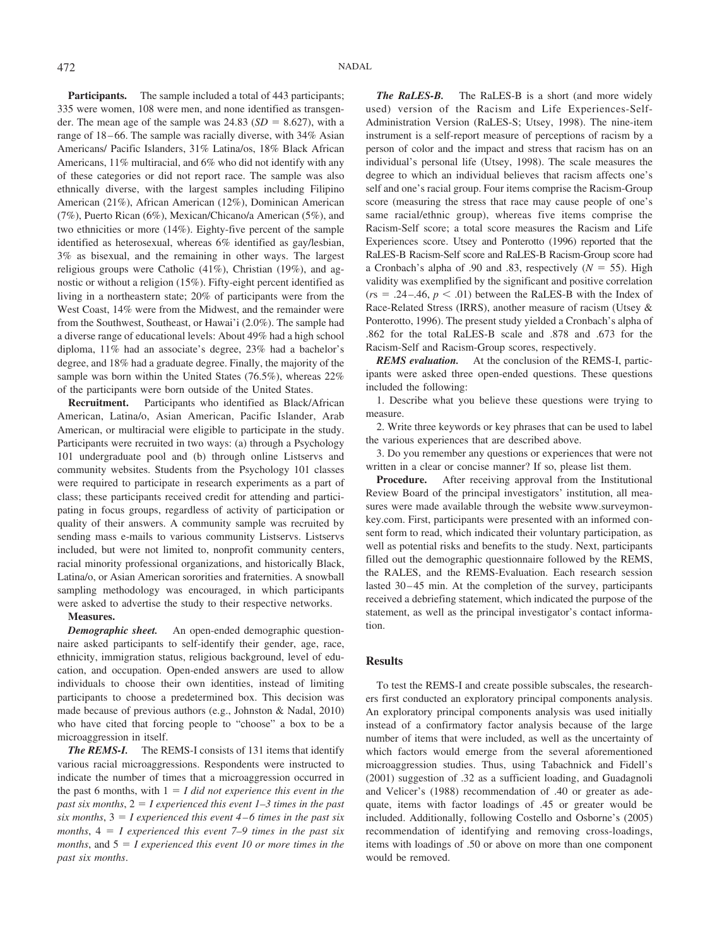**Participants.** The sample included a total of 443 participants; 335 were women, 108 were men, and none identified as transgender. The mean age of the sample was  $24.83$  ( $SD = 8.627$ ), with a range of 18–66. The sample was racially diverse, with 34% Asian Americans/ Pacific Islanders, 31% Latina/os, 18% Black African Americans, 11% multiracial, and 6% who did not identify with any of these categories or did not report race. The sample was also ethnically diverse, with the largest samples including Filipino American (21%), African American (12%), Dominican American (7%), Puerto Rican (6%), Mexican/Chicano/a American (5%), and two ethnicities or more (14%). Eighty-five percent of the sample identified as heterosexual, whereas 6% identified as gay/lesbian, 3% as bisexual, and the remaining in other ways. The largest religious groups were Catholic (41%), Christian (19%), and agnostic or without a religion (15%). Fifty-eight percent identified as living in a northeastern state; 20% of participants were from the West Coast, 14% were from the Midwest, and the remainder were from the Southwest, Southeast, or Hawai'i (2.0%). The sample had a diverse range of educational levels: About 49% had a high school diploma, 11% had an associate's degree, 23% had a bachelor's degree, and 18% had a graduate degree. Finally, the majority of the sample was born within the United States (76.5%), whereas 22% of the participants were born outside of the United States.

**Recruitment.** Participants who identified as Black/African American, Latina/o, Asian American, Pacific Islander, Arab American, or multiracial were eligible to participate in the study. Participants were recruited in two ways: (a) through a Psychology 101 undergraduate pool and (b) through online Listservs and community websites. Students from the Psychology 101 classes were required to participate in research experiments as a part of class; these participants received credit for attending and participating in focus groups, regardless of activity of participation or quality of their answers. A community sample was recruited by sending mass e-mails to various community Listservs. Listservs included, but were not limited to, nonprofit community centers, racial minority professional organizations, and historically Black, Latina/o, or Asian American sororities and fraternities. A snowball sampling methodology was encouraged, in which participants were asked to advertise the study to their respective networks.

#### **Measures.**

*Demographic sheet.* An open-ended demographic questionnaire asked participants to self-identify their gender, age, race, ethnicity, immigration status, religious background, level of education, and occupation. Open-ended answers are used to allow individuals to choose their own identities, instead of limiting participants to choose a predetermined box. This decision was made because of previous authors (e.g., Johnston & Nadal, 2010) who have cited that forcing people to "choose" a box to be a microaggression in itself.

*The REMS-I.* The REMS-I consists of 131 items that identify various racial microaggressions. Respondents were instructed to indicate the number of times that a microaggression occurred in the past 6 months, with  $1 = I$  did not experience this event in the *past six months*, 2 *I experienced this event 1–3 times in the past*  $six$  months,  $3 = I$  experienced this event  $4 - 6$  times in the past six *months*,  $4 = I$  *experienced this event* 7–9 *times in the past six months*, and 5 *I experienced this event 10 or more times in the past six months*.

*The RaLES-B.* The RaLES-B is a short (and more widely used) version of the Racism and Life Experiences-Self-Administration Version (RaLES-S; Utsey, 1998). The nine-item instrument is a self-report measure of perceptions of racism by a person of color and the impact and stress that racism has on an individual's personal life (Utsey, 1998). The scale measures the degree to which an individual believes that racism affects one's self and one's racial group. Four items comprise the Racism-Group score (measuring the stress that race may cause people of one's same racial/ethnic group), whereas five items comprise the Racism-Self score; a total score measures the Racism and Life Experiences score. Utsey and Ponterotto (1996) reported that the RaLES-B Racism-Self score and RaLES-B Racism-Group score had a Cronbach's alpha of .90 and .83, respectively  $(N = 55)$ . High validity was exemplified by the significant and positive correlation  $(rs = .24 - .46, p < .01)$  between the RaLES-B with the Index of Race-Related Stress (IRRS), another measure of racism (Utsey & Ponterotto, 1996). The present study yielded a Cronbach's alpha of .862 for the total RaLES-B scale and .878 and .673 for the Racism-Self and Racism-Group scores, respectively.

*REMS evaluation.* At the conclusion of the REMS-I, participants were asked three open-ended questions. These questions included the following:

1. Describe what you believe these questions were trying to measure.

2. Write three keywords or key phrases that can be used to label the various experiences that are described above.

3. Do you remember any questions or experiences that were not written in a clear or concise manner? If so, please list them.

**Procedure.** After receiving approval from the Institutional Review Board of the principal investigators' institution, all measures were made available through the website www.surveymonkey.com. First, participants were presented with an informed consent form to read, which indicated their voluntary participation, as well as potential risks and benefits to the study. Next, participants filled out the demographic questionnaire followed by the REMS, the RALES, and the REMS-Evaluation. Each research session lasted 30–45 min. At the completion of the survey, participants received a debriefing statement, which indicated the purpose of the statement, as well as the principal investigator's contact information.

# **Results**

To test the REMS-I and create possible subscales, the researchers first conducted an exploratory principal components analysis. An exploratory principal components analysis was used initially instead of a confirmatory factor analysis because of the large number of items that were included, as well as the uncertainty of which factors would emerge from the several aforementioned microaggression studies. Thus, using Tabachnick and Fidell's (2001) suggestion of .32 as a sufficient loading, and Guadagnoli and Velicer's (1988) recommendation of .40 or greater as adequate, items with factor loadings of .45 or greater would be included. Additionally, following Costello and Osborne's (2005) recommendation of identifying and removing cross-loadings, items with loadings of .50 or above on more than one component would be removed.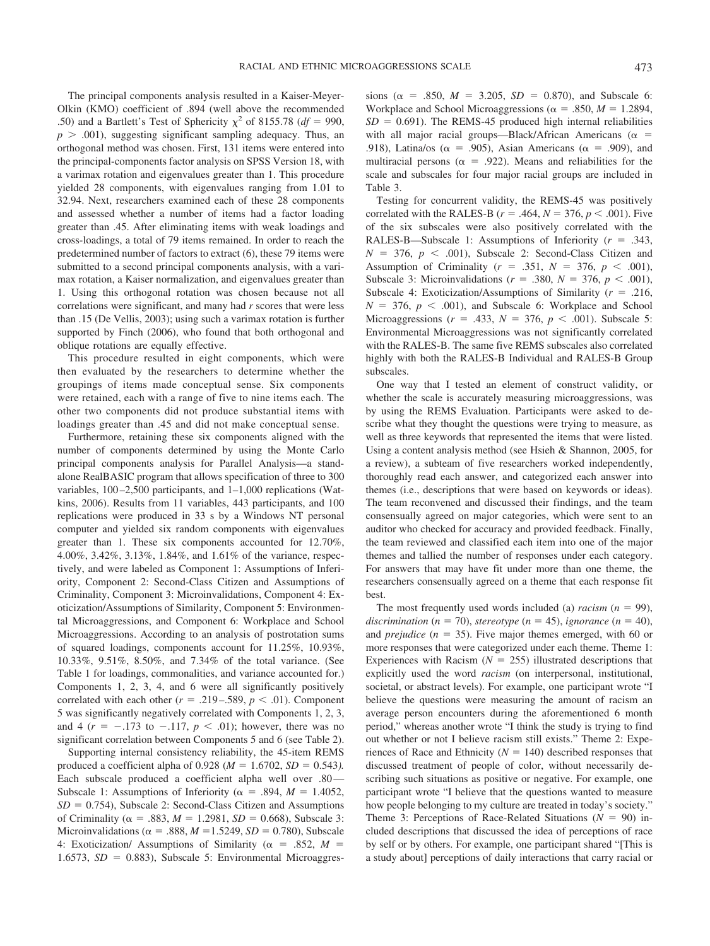The principal components analysis resulted in a Kaiser-Meyer-Olkin (KMO) coefficient of .894 (well above the recommended .50) and a Bartlett's Test of Sphericity  $\chi^2$  of 8155.78 (*df* = 990,  $p > .001$ ), suggesting significant sampling adequacy. Thus, an orthogonal method was chosen. First, 131 items were entered into the principal-components factor analysis on SPSS Version 18, with a varimax rotation and eigenvalues greater than 1. This procedure yielded 28 components, with eigenvalues ranging from 1.01 to 32.94. Next, researchers examined each of these 28 components and assessed whether a number of items had a factor loading greater than .45. After eliminating items with weak loadings and cross-loadings, a total of 79 items remained. In order to reach the predetermined number of factors to extract (6), these 79 items were submitted to a second principal components analysis, with a varimax rotation, a Kaiser normalization, and eigenvalues greater than 1. Using this orthogonal rotation was chosen because not all correlations were significant, and many had *r* scores that were less than .15 (De Vellis, 2003); using such a varimax rotation is further supported by Finch (2006), who found that both orthogonal and oblique rotations are equally effective.

This procedure resulted in eight components, which were then evaluated by the researchers to determine whether the groupings of items made conceptual sense. Six components were retained, each with a range of five to nine items each. The other two components did not produce substantial items with loadings greater than .45 and did not make conceptual sense.

Furthermore, retaining these six components aligned with the number of components determined by using the Monte Carlo principal components analysis for Parallel Analysis—a standalone RealBASIC program that allows specification of three to 300 variables, 100-2,500 participants, and 1-1,000 replications (Watkins, 2006). Results from 11 variables, 443 participants, and 100 replications were produced in 33 s by a Windows NT personal computer and yielded six random components with eigenvalues greater than 1. These six components accounted for 12.70%, 4.00%, 3.42%, 3.13%, 1.84%, and 1.61% of the variance, respectively, and were labeled as Component 1: Assumptions of Inferiority, Component 2: Second-Class Citizen and Assumptions of Criminality, Component 3: Microinvalidations, Component 4: Exoticization/Assumptions of Similarity, Component 5: Environmental Microaggressions, and Component 6: Workplace and School Microaggressions. According to an analysis of postrotation sums of squared loadings, components account for 11.25%, 10.93%, 10.33%, 9.51%, 8.50%, and 7.34% of the total variance. (See Table 1 for loadings, commonalities, and variance accounted for.) Components 1, 2, 3, 4, and 6 were all significantly positively correlated with each other  $(r = .219 - .589, p < .01)$ . Component 5 was significantly negatively correlated with Components 1, 2, 3, and 4 ( $r = -.173$  to  $-.117$ ,  $p < .01$ ); however, there was no significant correlation between Components 5 and 6 (see Table 2).

Supporting internal consistency reliability, the 45-item REMS produced a coefficient alpha of 0.928 ( $M = 1.6702$ ,  $SD = 0.543$ ). Each subscale produced a coefficient alpha well over .80— Subscale 1: Assumptions of Inferiority ( $\alpha$  = .894, *M* = 1.4052,  $SD = 0.754$ , Subscale 2: Second-Class Citizen and Assumptions of Criminality ( $\alpha$  = .883,  $M = 1.2981$ ,  $SD = 0.668$ ), Subscale 3: Microinvalidations ( $\alpha$  = .888,  $M = 1.5249$ ,  $SD = 0.780$ ), Subscale 4: Exoticization/ Assumptions of Similarity ( $\alpha$  = .852, *M* = 1.6573,  $SD = 0.883$ ), Subscale 5: Environmental Microaggres-

sions ( $\alpha$  = .850,  $M$  = 3.205,  $SD$  = 0.870), and Subscale 6: Workplace and School Microaggressions ( $\alpha = .850$ ,  $M = 1.2894$ ,  $SD = 0.691$ ). The REMS-45 produced high internal reliabilities with all major racial groups—Black/African Americans ( $\alpha$  = .918), Latina/os ( $\alpha$  = .905), Asian Americans ( $\alpha$  = .909), and multiracial persons ( $\alpha$  = .922). Means and reliabilities for the scale and subscales for four major racial groups are included in Table 3.

Testing for concurrent validity, the REMS-45 was positively correlated with the RALES-B ( $r = .464$ ,  $N = 376$ ,  $p < .001$ ). Five of the six subscales were also positively correlated with the RALES-B—Subscale 1: Assumptions of Inferiority  $(r = .343, ...)$  $N = 376$ ,  $p < .001$ ), Subscale 2: Second-Class Citizen and Assumption of Criminality ( $r = .351$ ,  $N = 376$ ,  $p < .001$ ), Subscale 3: Microinvalidations ( $r = .380$ ,  $N = 376$ ,  $p < .001$ ), Subscale 4: Exoticization/Assumptions of Similarity  $(r = .216,$  $N = 376$ ,  $p < .001$ ), and Subscale 6: Workplace and School Microaggressions  $(r = .433, N = 376, p < .001)$ . Subscale 5: Environmental Microaggressions was not significantly correlated with the RALES-B. The same five REMS subscales also correlated highly with both the RALES-B Individual and RALES-B Group subscales.

One way that I tested an element of construct validity, or whether the scale is accurately measuring microaggressions, was by using the REMS Evaluation. Participants were asked to describe what they thought the questions were trying to measure, as well as three keywords that represented the items that were listed. Using a content analysis method (see Hsieh & Shannon, 2005, for a review), a subteam of five researchers worked independently, thoroughly read each answer, and categorized each answer into themes (i.e., descriptions that were based on keywords or ideas). The team reconvened and discussed their findings, and the team consensually agreed on major categories, which were sent to an auditor who checked for accuracy and provided feedback. Finally, the team reviewed and classified each item into one of the major themes and tallied the number of responses under each category. For answers that may have fit under more than one theme, the researchers consensually agreed on a theme that each response fit best.

The most frequently used words included (a) *racism*  $(n = 99)$ , *discrimination* ( $n = 70$ ), *stereotype* ( $n = 45$ ), *ignorance* ( $n = 40$ ), and *prejudice* ( $n = 35$ ). Five major themes emerged, with 60 or more responses that were categorized under each theme. Theme 1: Experiences with Racism  $(N = 255)$  illustrated descriptions that explicitly used the word *racism* (on interpersonal, institutional, societal, or abstract levels). For example, one participant wrote "I believe the questions were measuring the amount of racism an average person encounters during the aforementioned 6 month period," whereas another wrote "I think the study is trying to find out whether or not I believe racism still exists." Theme 2: Experiences of Race and Ethnicity  $(N = 140)$  described responses that discussed treatment of people of color, without necessarily describing such situations as positive or negative. For example, one participant wrote "I believe that the questions wanted to measure how people belonging to my culture are treated in today's society." Theme 3: Perceptions of Race-Related Situations ( $N = 90$ ) included descriptions that discussed the idea of perceptions of race by self or by others. For example, one participant shared "[This is a study about] perceptions of daily interactions that carry racial or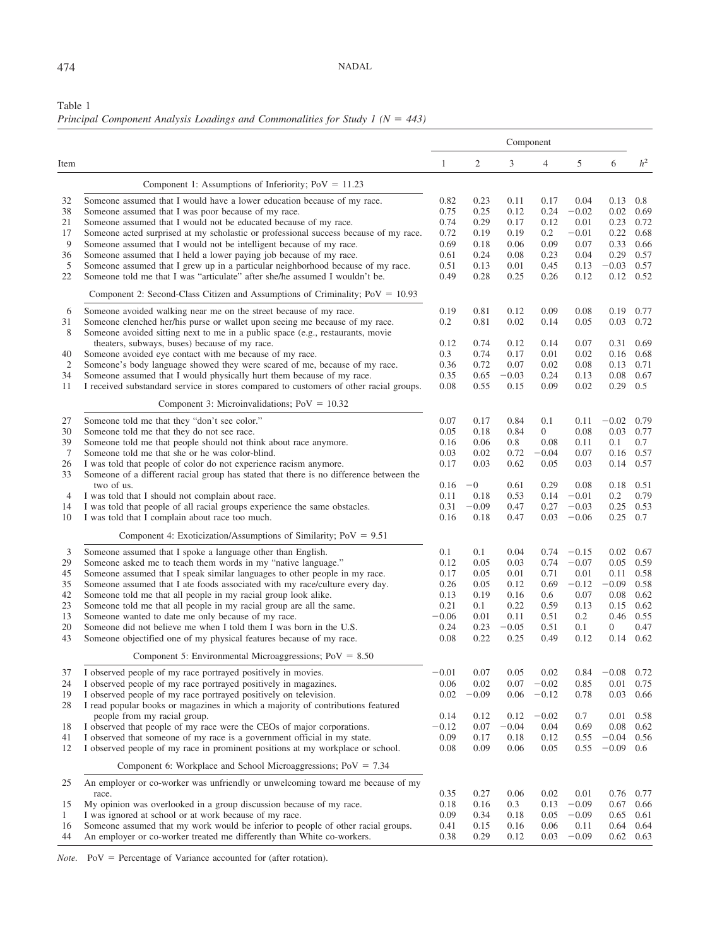# Table 1

*Principal Component Analysis Loadings and Commonalities for Study 1 (N = 443)* 

|                |                                                                                        |              |         |         | Component      |         |                |                |
|----------------|----------------------------------------------------------------------------------------|--------------|---------|---------|----------------|---------|----------------|----------------|
| Item           |                                                                                        | $\mathbf{1}$ | 2       | 3       | 4              | 5       | 6              | h <sup>2</sup> |
|                | Component 1: Assumptions of Inferiority; $PoV = 11.23$                                 |              |         |         |                |         |                |                |
| 32             | Someone assumed that I would have a lower education because of my race.                | 0.82         | 0.23    | 0.11    | 0.17           | 0.04    | 0.13           | 0.8            |
| 38             | Someone assumed that I was poor because of my race.                                    | 0.75         | 0.25    | 0.12    | 0.24           | $-0.02$ | 0.02           | 0.69           |
| 21             | Someone assumed that I would not be educated because of my race.                       | 0.74         | 0.29    | 0.17    | 0.12           | 0.01    | 0.23           | 0.72           |
| 17             | Someone acted surprised at my scholastic or professional success because of my race.   | 0.72         | 0.19    | 0.19    | 0.2            | $-0.01$ | 0.22           | 0.68           |
| 9              | Someone assumed that I would not be intelligent because of my race.                    | 0.69         | 0.18    | 0.06    | 0.09           | 0.07    | 0.33           | 0.66           |
| 36             | Someone assumed that I held a lower paying job because of my race.                     | 0.61         | 0.24    | 0.08    | 0.23           | 0.04    | 0.29           | 0.57           |
| 5              | Someone assumed that I grew up in a particular neighborhood because of my race.        | 0.51         | 0.13    | 0.01    | 0.45           | 0.13    | $-0.03$        | 0.57           |
| 22             | Someone told me that I was "articulate" after she/he assumed I wouldn't be.            | 0.49         | 0.28    | 0.25    | 0.26           | 0.12    | 0.12           | 0.52           |
|                | Component 2: Second-Class Citizen and Assumptions of Criminality; $PoV = 10.93$        |              |         |         |                |         |                |                |
| 6              | Someone avoided walking near me on the street because of my race.                      | 0.19         | 0.81    | 0.12    | 0.09           | 0.08    | 0.19           | 0.77           |
| 31             | Someone clenched her/his purse or wallet upon seeing me because of my race.            | 0.2          | 0.81    | 0.02    | 0.14           | 0.05    | 0.03           | 0.72           |
| 8              | Someone avoided sitting next to me in a public space (e.g., restaurants, movie         |              |         |         |                |         |                |                |
|                | theaters, subways, buses) because of my race.                                          | 0.12         | 0.74    | 0.12    | 0.14           | 0.07    | 0.31           | 0.69           |
| 40             | Someone avoided eye contact with me because of my race.                                | 0.3          | 0.74    | 0.17    | 0.01           | 0.02    | 0.16           | 0.68           |
| $\mathfrak{2}$ | Someone's body language showed they were scared of me, because of my race.             | 0.36         | 0.72    | 0.07    | 0.02           | 0.08    | 0.13           | 0.71           |
| 34             | Someone assumed that I would physically hurt them because of my race.                  | 0.35         | 0.65    | $-0.03$ | 0.24           | 0.13    | 0.08           | 0.67           |
| 11             | I received substandard service in stores compared to customers of other racial groups. | 0.08         | 0.55    | 0.15    | 0.09           | 0.02    | 0.29           | 0.5            |
|                | Component 3: Microinvalidations; $PoV = 10.32$                                         |              |         |         |                |         |                |                |
| 27             | Someone told me that they "don't see color."                                           | 0.07         | 0.17    | 0.84    | 0.1            | 0.11    | $-0.02$        | 0.79           |
| 30             | Someone told me that they do not see race.                                             | 0.05         | 0.18    | 0.84    | $\overline{0}$ | 0.08    | 0.03           | 0.77           |
| 39             | Someone told me that people should not think about race anymore.                       | 0.16         | 0.06    | 0.8     | 0.08           | 0.11    | 0.1            | 0.7            |
| 7              | Someone told me that she or he was color-blind.                                        | 0.03         | 0.02    | 0.72    | $-0.04$        | 0.07    | 0.16           | 0.57           |
| 26             | I was told that people of color do not experience racism anymore.                      | 0.17         | 0.03    | 0.62    | 0.05           | 0.03    | 0.14           | 0.57           |
| 33             | Someone of a different racial group has stated that there is no difference between the |              |         |         |                |         |                |                |
|                | two of us.                                                                             | 0.16         | $-0$    | 0.61    | 0.29           | 0.08    | 0.18           | 0.51           |
| 4              | I was told that I should not complain about race.                                      | 0.11         | 0.18    | 0.53    | 0.14           | $-0.01$ | 0.2            | 0.79           |
| 14             | I was told that people of all racial groups experience the same obstacles.             | 0.31         | $-0.09$ | 0.47    | 0.27           | $-0.03$ | 0.25           | 0.53           |
| 10             | I was told that I complain about race too much.                                        | 0.16         | 0.18    | 0.47    | 0.03           | $-0.06$ | 0.25           | 0.7            |
|                | Component 4: Exoticization/Assumptions of Similarity; $PoV = 9.51$                     |              |         |         |                |         |                |                |
| 3              | Someone assumed that I spoke a language other than English.                            | 0.1          | 0.1     | 0.04    | 0.74           | $-0.15$ | 0.02           | 0.67           |
| 29             | Someone asked me to teach them words in my "native language."                          | 0.12         | 0.05    | 0.03    | 0.74           | $-0.07$ | 0.05           | 0.59           |
| 45             | Someone assumed that I speak similar languages to other people in my race.             | 0.17         | 0.05    | 0.01    | 0.71           | 0.01    | 0.11           | 0.58           |
| 35             | Someone assumed that I ate foods associated with my race/culture every day.            | 0.26         | 0.05    | 0.12    | 0.69           | $-0.12$ | $-0.09$        | 0.58           |
| 42             | Someone told me that all people in my racial group look alike.                         | 0.13         | 0.19    | 0.16    | 0.6            | 0.07    | 0.08           | 0.62           |
| 23             | Someone told me that all people in my racial group are all the same.                   | 0.21         | 0.1     | 0.22    | 0.59           | 0.13    | 0.15           | 0.62           |
| 13             | Someone wanted to date me only because of my race.                                     | $-0.06$      | 0.01    | 0.11    | 0.51           | 0.2     | 0.46           | 0.55           |
| 20             | Someone did not believe me when I told them I was born in the U.S.                     | 0.24         | 0.23    | $-0.05$ | 0.51           | 0.1     | $\overline{0}$ | 0.47           |
| 43             | Someone objectified one of my physical features because of my race.                    | 0.08         | 0.22    | 0.25    | 0.49           | 0.12    | 0.14           | 0.62           |
|                | Component 5: Environmental Microaggressions; $PoV = 8.50$                              |              |         |         |                |         |                |                |
| 37             | I observed people of my race portrayed positively in movies.                           | $-0.01$      | 0.07    | 0.05    | 0.02           | 0.84    | $-0.08$        | 0.72           |
| 24             | I observed people of my race portrayed positively in magazines.                        | 0.06         | 0.02    | 0.07    | $-0.02$        | 0.85    | 0.01           | 0.75           |
| 19             | I observed people of my race portrayed positively on television.                       | 0.02         | $-0.09$ | 0.06    | $-0.12$        | 0.78    | 0.03           | 0.66           |
| 28             | I read popular books or magazines in which a majority of contributions featured        |              |         |         |                |         |                |                |
|                | people from my racial group.                                                           | 0.14         | 0.12    | 0.12    | $-0.02$        | 0.7     | 0.01           | 0.58           |
| 18             | I observed that people of my race were the CEOs of major corporations.                 | $-0.12$      | 0.07    | $-0.04$ | 0.04           | 0.69    | 0.08           | 0.62           |
| 41             | I observed that someone of my race is a government official in my state.               | 0.09         | 0.17    | 0.18    | 0.12           | 0.55    | $-0.04$        | 0.56           |
| 12             | I observed people of my race in prominent positions at my workplace or school.         | 0.08         | 0.09    | 0.06    | 0.05           | 0.55    | $-0.09$        | 0.6            |
|                | Component 6: Workplace and School Microaggressions; $PoV = 7.34$                       |              |         |         |                |         |                |                |
| 25             | An employer or co-worker was unfriendly or unwelcoming toward me because of my         |              |         |         |                |         |                |                |
|                | race.                                                                                  | 0.35         | 0.27    | 0.06    | 0.02           | 0.01    | 0.76           | 0.77           |
| 15             | My opinion was overlooked in a group discussion because of my race.                    | 0.18         | 0.16    | 0.3     | 0.13           | $-0.09$ | 0.67           | 0.66           |
| 1              | I was ignored at school or at work because of my race.                                 | 0.09         | 0.34    | 0.18    | 0.05           | $-0.09$ | 0.65           | 0.61           |
| 16             | Someone assumed that my work would be inferior to people of other racial groups.       | 0.41         | 0.15    | 0.16    | 0.06           | 0.11    | 0.64           | 0.64           |
| 44             | An employer or co-worker treated me differently than White co-workers.                 | 0.38         | 0.29    | 0.12    | 0.03           | $-0.09$ | 0.62           | 0.63           |

*Note.* PoV = Percentage of Variance accounted for (after rotation).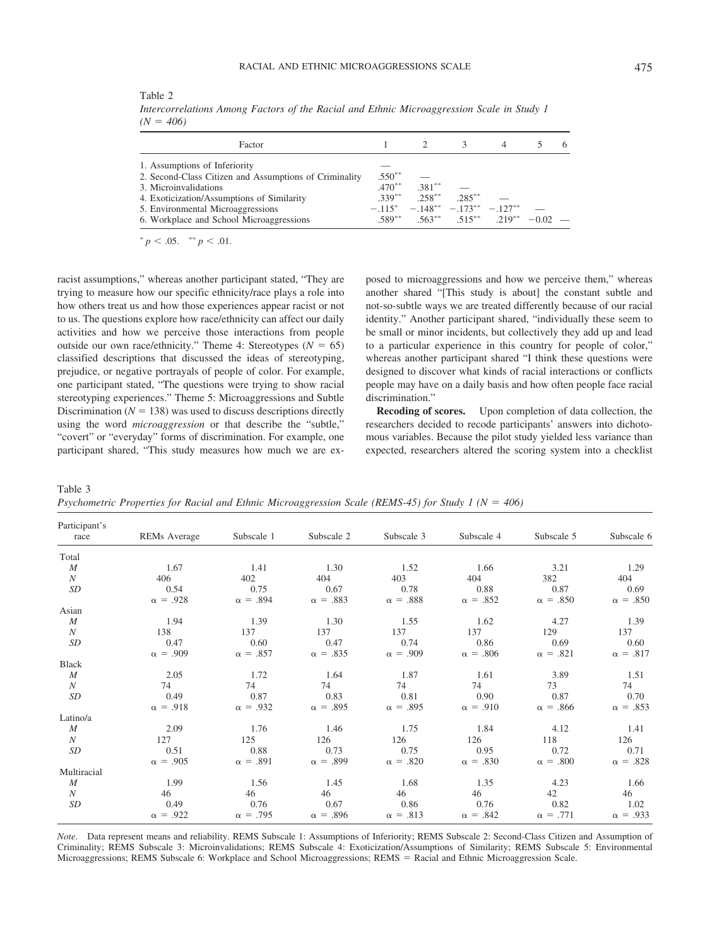| $.550**$   |                                  |                                        |                                                           |
|------------|----------------------------------|----------------------------------------|-----------------------------------------------------------|
| $470^{**}$ |                                  |                                        |                                                           |
| $.339***$  |                                  |                                        |                                                           |
|            |                                  |                                        |                                                           |
|            |                                  |                                        |                                                           |
|            | $.381***$<br>$.258***$ $.285***$ | $-115^* -148^{**} -173^{**} -127^{**}$ | $.589^{**}$ $.563^{**}$ $.515^{**}$ $.219^{**}$ $-0.02$ — |

Table 2 *Intercorrelations Among Factors of the Racial and Ethnic Microaggression Scale in Study 1*  $(N = 406)$ 

racist assumptions," whereas another participant stated, "They are trying to measure how our specific ethnicity/race plays a role into how others treat us and how those experiences appear racist or not to us. The questions explore how race/ethnicity can affect our daily activities and how we perceive those interactions from people outside our own race/ethnicity." Theme 4: Stereotypes  $(N = 65)$ classified descriptions that discussed the ideas of stereotyping, prejudice, or negative portrayals of people of color. For example, one participant stated, "The questions were trying to show racial stereotyping experiences." Theme 5: Microaggressions and Subtle Discrimination ( $N = 138$ ) was used to discuss descriptions directly using the word *microaggression* or that describe the "subtle," "covert" or "everyday" forms of discrimination. For example, one participant shared, "This study measures how much we are exposed to microaggressions and how we perceive them," whereas another shared "[This study is about] the constant subtle and not-so-subtle ways we are treated differently because of our racial identity." Another participant shared, "individually these seem to be small or minor incidents, but collectively they add up and lead to a particular experience in this country for people of color," whereas another participant shared "I think these questions were designed to discover what kinds of racial interactions or conflicts people may have on a daily basis and how often people face racial discrimination."

**Recoding of scores.** Upon completion of data collection, the researchers decided to recode participants' answers into dichotomous variables. Because the pilot study yielded less variance than expected, researchers altered the scoring system into a checklist

Table 3

*Psychometric Properties for Racial and Ethnic Microaggression Scale (REMS-45) for Study 1 (N = 406)* 

| Participant's<br>race | REMs Average    | Subscale 1      | Subscale 2      | Subscale 3      | Subscale 4      | Subscale 5      | Subscale 6      |
|-----------------------|-----------------|-----------------|-----------------|-----------------|-----------------|-----------------|-----------------|
|                       |                 |                 |                 |                 |                 |                 |                 |
| Total                 |                 |                 |                 |                 |                 |                 |                 |
| M                     | 1.67            | - 1.41          | 1.30            | 1.52            | 1.66            | 3.21            | 1.29            |
| N                     | 406             | 402             | 404             | 403             | 404             | 382             | 404             |
| SD                    | 0.54            | 0.75            | 0.67            | 0.78            | 0.88            | 0.87            | 0.69            |
|                       | $\alpha = .928$ | $\alpha = .894$ | $\alpha = .883$ | $\alpha = .888$ | $\alpha = .852$ | $\alpha = .850$ | $\alpha = .850$ |
| Asian                 |                 |                 |                 |                 |                 |                 |                 |
| $\boldsymbol{M}$      | 1.94            | 1.39            | 1.30            | 1.55            | 1.62            | 4.27            | 1.39            |
| $\boldsymbol{N}$      | 138             | 137             | 137             | 137             | 137             | 129             | 137             |
| SD                    | 0.47            | 0.60            | 0.47            | 0.74            | 0.86            | 0.69            | 0.60            |
|                       | $\alpha = .909$ | $\alpha = .857$ | $\alpha = .835$ | $\alpha = .909$ | $\alpha = .806$ | $\alpha = .821$ | $\alpha = .817$ |
| <b>Black</b>          |                 |                 |                 |                 |                 |                 |                 |
| M                     | 2.05            | 1.72            | 1.64            | 1.87            | 1.61            | 3.89            | 1.51            |
| $\boldsymbol{N}$      | 74              | 74              | 74              | 74              | 74              | 73              | 74              |
| SD                    | 0.49            | 0.87            | 0.83            | 0.81            | 0.90            | 0.87            | 0.70            |
|                       | $\alpha = .918$ | $\alpha = .932$ | $\alpha = .895$ | $\alpha = .895$ | $\alpha = .910$ | $\alpha = .866$ | $\alpha = .853$ |
| Latino/a              |                 |                 |                 |                 |                 |                 |                 |
| M                     | 2.09            | 1.76            | 1.46            | 1.75            | 1.84            | 4.12            | 1.41            |
| N                     | 127             | 125             | 126             | 126             | 126             | 118             | 126             |
| SD                    | 0.51            | 0.88            | 0.73            | 0.75            | 0.95            | 0.72            | 0.71            |
|                       | $\alpha = .905$ | $\alpha = .891$ | $\alpha = .899$ | $\alpha = .820$ | $\alpha = .830$ | $\alpha = .800$ | $\alpha = .828$ |
| Multiracial           |                 |                 |                 |                 |                 |                 |                 |
| $\boldsymbol{M}$      | 1.99            | 1.56            | 1.45            | 1.68            | 1.35            | 4.23            | 1.66            |
| $\boldsymbol{N}$      | 46              | 46              | 46              | 46              | 46              | 42              | 46              |
| SD                    | 0.49            | 0.76            | 0.67            | 0.86            | 0.76            | 0.82            | 1.02            |
|                       | $\alpha = .922$ | $\alpha = .795$ | $\alpha = .896$ | $\alpha = .813$ | $\alpha = .842$ | $\alpha = .771$ | $\alpha = .933$ |

*Note*. Data represent means and reliability. REMS Subscale 1: Assumptions of Inferiority; REMS Subscale 2: Second-Class Citizen and Assumption of Criminality; REMS Subscale 3: Microinvalidations; REMS Subscale 4: Exoticization/Assumptions of Similarity; REMS Subscale 5: Environmental Microaggressions; REMS Subscale 6: Workplace and School Microaggressions; REMS = Racial and Ethnic Microaggression Scale.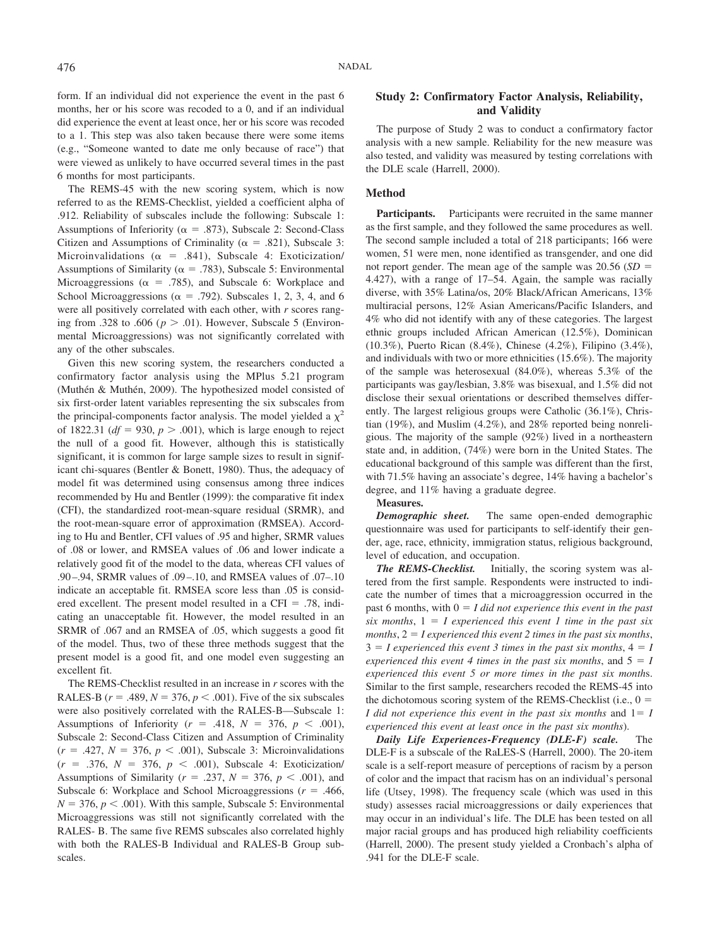form. If an individual did not experience the event in the past 6 months, her or his score was recoded to a 0, and if an individual did experience the event at least once, her or his score was recoded to a 1. This step was also taken because there were some items (e.g., "Someone wanted to date me only because of race") that were viewed as unlikely to have occurred several times in the past 6 months for most participants.

The REMS-45 with the new scoring system, which is now referred to as the REMS-Checklist, yielded a coefficient alpha of .912. Reliability of subscales include the following: Subscale 1: Assumptions of Inferiority ( $\alpha = .873$ ), Subscale 2: Second-Class Citizen and Assumptions of Criminality ( $\alpha = .821$ ), Subscale 3: Microinvalidations ( $\alpha$  = .841), Subscale 4: Exoticization/ Assumptions of Similarity ( $\alpha = .783$ ), Subscale 5: Environmental Microaggressions ( $\alpha$  = .785), and Subscale 6: Workplace and School Microaggressions ( $\alpha$  = .792). Subscales 1, 2, 3, 4, and 6 were all positively correlated with each other, with *r* scores ranging from .328 to .606 ( $p > .01$ ). However, Subscale 5 (Environmental Microaggressions) was not significantly correlated with any of the other subscales.

Given this new scoring system, the researchers conducted a confirmatory factor analysis using the MPlus 5.21 program (Muthén & Muthén, 2009). The hypothesized model consisted of six first-order latent variables representing the six subscales from the principal-components factor analysis. The model yielded a  $\chi^2$ of 1822.31 ( $df = 930$ ,  $p > .001$ ), which is large enough to reject the null of a good fit. However, although this is statistically significant, it is common for large sample sizes to result in significant chi-squares (Bentler & Bonett, 1980). Thus, the adequacy of model fit was determined using consensus among three indices recommended by Hu and Bentler (1999): the comparative fit index (CFI), the standardized root-mean-square residual (SRMR), and the root-mean-square error of approximation (RMSEA). According to Hu and Bentler, CFI values of .95 and higher, SRMR values of .08 or lower, and RMSEA values of .06 and lower indicate a relatively good fit of the model to the data, whereas CFI values of .90 –.94, SRMR values of .09 –.10, and RMSEA values of .07–.10 indicate an acceptable fit. RMSEA score less than .05 is considered excellent. The present model resulted in a CFI  $= .78$ , indicating an unacceptable fit. However, the model resulted in an SRMR of .067 and an RMSEA of .05, which suggests a good fit of the model. Thus, two of these three methods suggest that the present model is a good fit, and one model even suggesting an excellent fit.

The REMS-Checklist resulted in an increase in *r* scores with the RALES-B ( $r = .489, N = 376, p < .001$ ). Five of the six subscales were also positively correlated with the RALES-B—Subscale 1: Assumptions of Inferiority ( $r = .418$ ,  $N = 376$ ,  $p < .001$ ), Subscale 2: Second-Class Citizen and Assumption of Criminality  $(r = .427, N = 376, p < .001)$ , Subscale 3: Microinvalidations  $(r = .376, N = 376, p < .001)$ , Subscale 4: Exoticization/ Assumptions of Similarity ( $r = .237$ ,  $N = 376$ ,  $p < .001$ ), and Subscale 6: Workplace and School Microaggressions ( $r = .466$ ,  $N = 376$ ,  $p < .001$ ). With this sample, Subscale 5: Environmental Microaggressions was still not significantly correlated with the RALES- B. The same five REMS subscales also correlated highly with both the RALES-B Individual and RALES-B Group subscales.

# **Study 2: Confirmatory Factor Analysis, Reliability, and Validity**

The purpose of Study 2 was to conduct a confirmatory factor analysis with a new sample. Reliability for the new measure was also tested, and validity was measured by testing correlations with the DLE scale (Harrell, 2000).

### **Method**

**Participants.** Participants were recruited in the same manner as the first sample, and they followed the same procedures as well. The second sample included a total of 218 participants; 166 were women, 51 were men, none identified as transgender, and one did not report gender. The mean age of the sample was 20.56 (*SD* 4.427), with a range of 17–54. Again, the sample was racially diverse, with 35% Latina/os, 20% Black/African Americans, 13% multiracial persons, 12% Asian Americans/Pacific Islanders, and 4% who did not identify with any of these categories. The largest ethnic groups included African American (12.5%), Dominican (10.3%), Puerto Rican (8.4%), Chinese (4.2%), Filipino (3.4%), and individuals with two or more ethnicities (15.6%). The majority of the sample was heterosexual (84.0%), whereas 5.3% of the participants was gay/lesbian, 3.8% was bisexual, and 1.5% did not disclose their sexual orientations or described themselves differently. The largest religious groups were Catholic (36.1%), Christian (19%), and Muslim (4.2%), and 28% reported being nonreligious. The majority of the sample (92%) lived in a northeastern state and, in addition, (74%) were born in the United States. The educational background of this sample was different than the first, with 71.5% having an associate's degree, 14% having a bachelor's degree, and 11% having a graduate degree.

#### **Measures.**

*Demographic sheet.* The same open-ended demographic questionnaire was used for participants to self-identify their gender, age, race, ethnicity, immigration status, religious background, level of education, and occupation.

*The REMS-Checklist.* Initially, the scoring system was altered from the first sample. Respondents were instructed to indicate the number of times that a microaggression occurred in the past 6 months, with  $0 = I$  did not experience this event in the past  $six$  months,  $1 = I$  experienced this event *I* time in the past six *months*,  $2 = I$  *experienced this event 2 times in the past six months*,  $3 = I$  experienced this event 3 times in the past six months,  $4 = I$ *experienced this event 4 times in the past six months, and*  $5 = I$ *experienced this event 5 or more times in the past six month*s. Similar to the first sample, researchers recoded the REMS-45 into the dichotomous scoring system of the REMS-Checklist (i.e.,  $0 =$ *I* did not experience this event in the past six months and  $1 = I$ *experienced this event at least once in the past six months*).

*Daily Life Experiences-Frequency (DLE-F) scale.* The DLE-F is a subscale of the RaLES-S (Harrell, 2000). The 20-item scale is a self-report measure of perceptions of racism by a person of color and the impact that racism has on an individual's personal life (Utsey, 1998). The frequency scale (which was used in this study) assesses racial microaggressions or daily experiences that may occur in an individual's life. The DLE has been tested on all major racial groups and has produced high reliability coefficients (Harrell, 2000). The present study yielded a Cronbach's alpha of .941 for the DLE-F scale.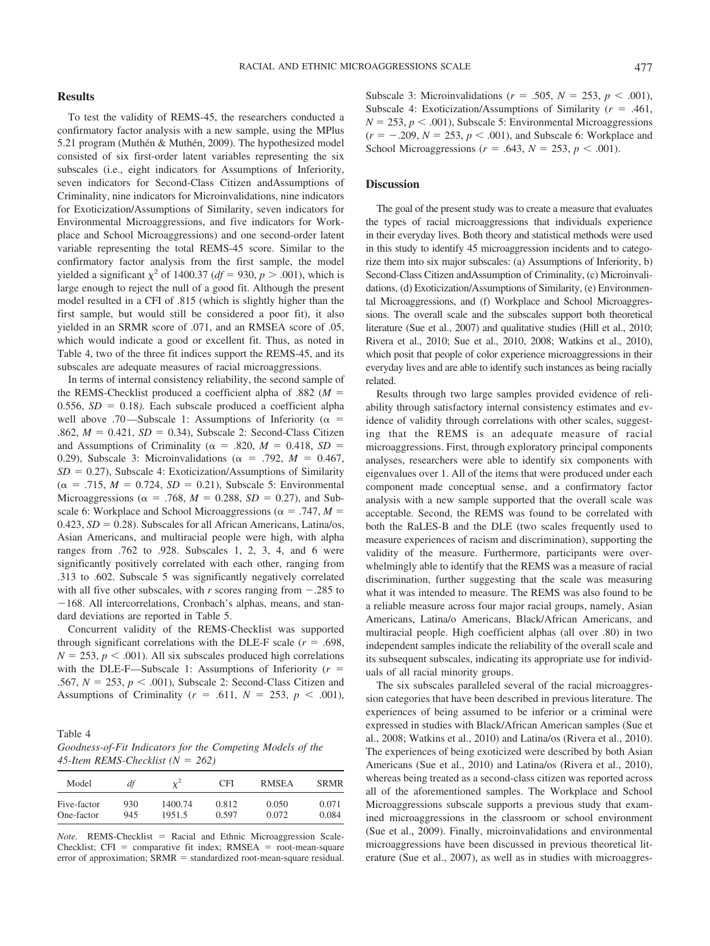## **Results**

To test the validity of REMS-45, the researchers conducted a confirmatory factor analysis with a new sample, using the MPlus 5.21 program (Muthén & Muthén, 2009). The hypothesized model consisted of six first-order latent variables representing the six subscales (i.e., eight indicators for Assumptions of Inferiority, seven indicators for Second-Class Citizen andAssumptions of Criminality, nine indicators for Microinvalidations, nine indicators for Exoticization/Assumptions of Similarity, seven indicators for Environmental Microaggressions, and five indicators for Workplace and School Microaggressions) and one second-order latent variable representing the total REMS-45 score. Similar to the confirmatory factor analysis from the first sample, the model yielded a significant  $\chi^2$  of 1400.37 (*df* = 930, *p* > .001), which is large enough to reject the null of a good fit. Although the present model resulted in a CFI of .815 (which is slightly higher than the first sample, but would still be considered a poor fit), it also yielded in an SRMR score of .071, and an RMSEA score of .05, which would indicate a good or excellent fit. Thus, as noted in Table 4, two of the three fit indices support the REMS-45, and its subscales are adequate measures of racial microaggressions.

In terms of internal consistency reliability, the second sample of the REMS-Checklist produced a coefficient alpha of .882 (*M* 0.556,  $SD = 0.18$ *)*. Each subscale produced a coefficient alpha well above .70—Subscale 1: Assumptions of Inferiority ( $\alpha$  = .862,  $M = 0.421$ ,  $SD = 0.34$ ), Subscale 2: Second-Class Citizen and Assumptions of Criminality ( $\alpha$  = .820, *M* = 0.418, *SD* = 0.29), Subscale 3: Microinvalidations ( $\alpha$  = .792,  $M$  = 0.467,  $SD = 0.27$ ), Subscale 4: Exoticization/Assumptions of Similarity  $(\alpha = .715, M = 0.724, SD = 0.21)$ , Subscale 5: Environmental Microaggressions ( $\alpha$  = .768,  $M = 0.288$ ,  $SD = 0.27$ ), and Subscale 6: Workplace and School Microaggressions ( $\alpha$  = .747, *M* =  $0.423$ ,  $SD = 0.28$ ). Subscales for all African Americans, Latina/os, Asian Americans, and multiracial people were high, with alpha ranges from .762 to .928. Subscales 1, 2, 3, 4, and 6 were significantly positively correlated with each other, ranging from .313 to .602. Subscale 5 was significantly negatively correlated with all five other subscales, with  $r$  scores ranging from  $-.285$  to -168. All intercorrelations, Cronbach's alphas, means, and standard deviations are reported in Table 5.

Concurrent validity of the REMS-Checklist was supported through significant correlations with the DLE-F scale  $(r = .698, )$  $N = 253$ ,  $p < .001$ ). All six subscales produced high correlations with the DLE-F—Subscale 1: Assumptions of Inferiority (*r* .567,  $N = 253$ ,  $p < .001$ ), Subscale 2: Second-Class Citizen and Assumptions of Criminality ( $r = .611$ ,  $N = 253$ ,  $p < .001$ ),

Table 4

*Goodness-of-Fit Indicators for the Competing Models of the 45-Item REMS-Checklist (N 262)*

| Model       | df  |         | <b>CFI</b> | <b>RMSEA</b> | <b>SRMR</b> |
|-------------|-----|---------|------------|--------------|-------------|
| Five-factor | 930 | 1400.74 | 0.812      | 0.050        | 0.071       |
| One-factor  | 945 | 1951.5  | 0.597      | 0.072        | 0.084       |

*Note.* REMS-Checklist = Racial and Ethnic Microaggression Scale-Checklist; CFI = comparative fit index; RMSEA = root-mean-square error of approximation;  $SRMR = standardized root-mean-square residual$ .

Subscale 3: Microinvalidations ( $r = .505$ ,  $N = 253$ ,  $p < .001$ ), Subscale 4: Exoticization/Assumptions of Similarity  $(r = .461, )$  $N = 253$ ,  $p < .001$ ), Subscale 5: Environmental Microaggressions  $(r = -.209, N = 253, p < .001)$ , and Subscale 6: Workplace and School Microaggressions ( $r = .643$ ,  $N = 253$ ,  $p < .001$ ).

## **Discussion**

The goal of the present study was to create a measure that evaluates the types of racial microaggressions that individuals experience in their everyday lives. Both theory and statistical methods were used in this study to identify 45 microaggression incidents and to categorize them into six major subscales: (a) Assumptions of Inferiority, b) Second-Class Citizen andAssumption of Criminality, (c) Microinvalidations, (d) Exoticization/Assumptions of Similarity, (e) Environmental Microaggressions, and (f) Workplace and School Microaggressions. The overall scale and the subscales support both theoretical literature (Sue et al., 2007) and qualitative studies (Hill et al., 2010; Rivera et al., 2010; Sue et al., 2010, 2008; Watkins et al., 2010), which posit that people of color experience microaggressions in their everyday lives and are able to identify such instances as being racially related.

Results through two large samples provided evidence of reliability through satisfactory internal consistency estimates and evidence of validity through correlations with other scales, suggesting that the REMS is an adequate measure of racial microaggressions. First, through exploratory principal components analyses, researchers were able to identify six components with eigenvalues over 1. All of the items that were produced under each component made conceptual sense, and a confirmatory factor analysis with a new sample supported that the overall scale was acceptable. Second, the REMS was found to be correlated with both the RaLES-B and the DLE (two scales frequently used to measure experiences of racism and discrimination), supporting the validity of the measure. Furthermore, participants were overwhelmingly able to identify that the REMS was a measure of racial discrimination, further suggesting that the scale was measuring what it was intended to measure. The REMS was also found to be a reliable measure across four major racial groups, namely, Asian Americans, Latina/o Americans, Black/African Americans, and multiracial people. High coefficient alphas (all over .80) in two independent samples indicate the reliability of the overall scale and its subsequent subscales, indicating its appropriate use for individuals of all racial minority groups.

The six subscales paralleled several of the racial microaggression categories that have been described in previous literature. The experiences of being assumed to be inferior or a criminal were expressed in studies with Black/African American samples (Sue et al., 2008; Watkins et al., 2010) and Latina/os (Rivera et al., 2010). The experiences of being exoticized were described by both Asian Americans (Sue et al., 2010) and Latina/os (Rivera et al., 2010), whereas being treated as a second-class citizen was reported across all of the aforementioned samples. The Workplace and School Microaggressions subscale supports a previous study that examined microaggressions in the classroom or school environment (Sue et al., 2009). Finally, microinvalidations and environmental microaggressions have been discussed in previous theoretical literature (Sue et al., 2007), as well as in studies with microaggres-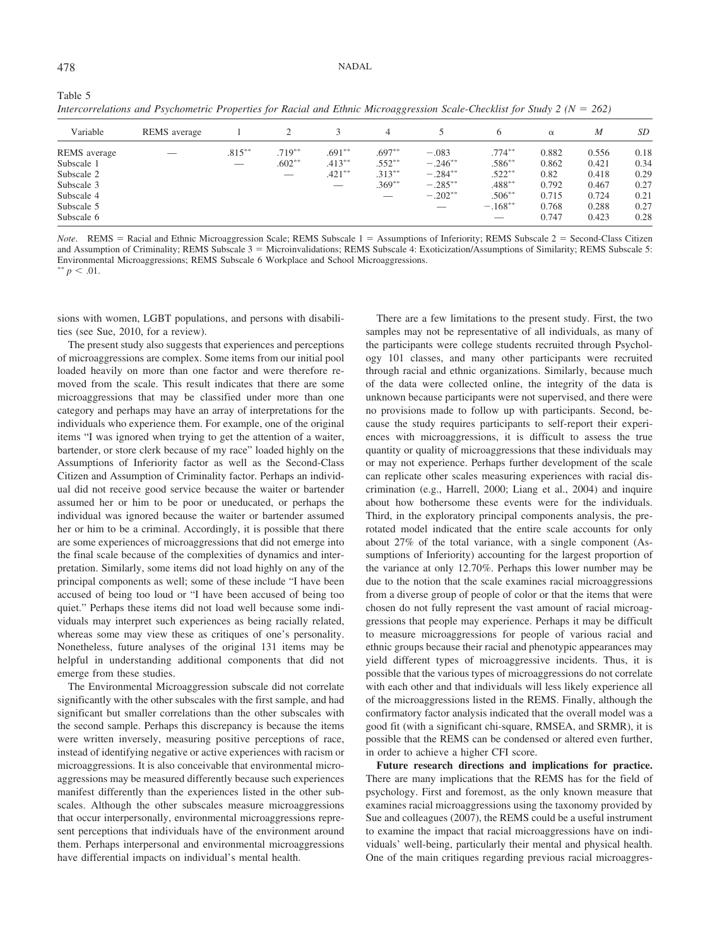| Intercorrelations and Psychometric Properties for Racial and Ethnic Microaggression Scale-Checklist for Study 2 ( $N = 262$ ) |              |           |           |                          |           |                          |            |          |       |      |  |
|-------------------------------------------------------------------------------------------------------------------------------|--------------|-----------|-----------|--------------------------|-----------|--------------------------|------------|----------|-------|------|--|
| Variable                                                                                                                      | REMS average |           |           |                          |           |                          |            | $\alpha$ | M     | SD   |  |
| <b>REMS</b> average                                                                                                           |              | $.815***$ | $.719***$ | $.691***$                | $.697**$  | $-.083$                  | $.774***$  | 0.882    | 0.556 | 0.18 |  |
| Subscale 1                                                                                                                    |              |           | $.602**$  | $.413***$                | $.552***$ | $-.246***$               | .586**     | 0.862    | 0.421 | 0.34 |  |
| Subscale 2                                                                                                                    |              |           |           | $.421***$                | $.313***$ | $-.284***$               | $.522***$  | 0.82     | 0.418 | 0.29 |  |
| Subscale 3                                                                                                                    |              |           |           | $\overline{\phantom{a}}$ | $.369**$  | $-.285***$               | $.488***$  | 0.792    | 0.467 | 0.27 |  |
| Subscale 4                                                                                                                    |              |           |           |                          |           | $-.202**$                | $.506***$  | 0.715    | 0.724 | 0.21 |  |
| Subscale 5                                                                                                                    |              |           |           |                          |           | $\overline{\phantom{a}}$ | $-.168***$ | 0.768    | 0.288 | 0.27 |  |

*Intercorrelations and Psychometric Properties for Racial and Ethnic Microaggression Scale-Checklist for Study 2 (N 262)*

*Note.* REMS = Racial and Ethnic Microaggression Scale; REMS Subscale 1 = Assumptions of Inferiority; REMS Subscale 2 = Second-Class Citizen and Assumption of Criminality; REMS Subscale 3 = Microinvalidations; REMS Subscale 4: Exoticization/Assumptions of Similarity; REMS Subscale 5: Environmental Microaggressions; REMS Subscale 6 Workplace and School Microaggressions.  $p < .01$ .

Subscale 6  $-$  0.747 0.423 0.28

sions with women, LGBT populations, and persons with disabilities (see Sue, 2010, for a review).

The present study also suggests that experiences and perceptions of microaggressions are complex. Some items from our initial pool loaded heavily on more than one factor and were therefore removed from the scale. This result indicates that there are some microaggressions that may be classified under more than one category and perhaps may have an array of interpretations for the individuals who experience them. For example, one of the original items "I was ignored when trying to get the attention of a waiter, bartender, or store clerk because of my race" loaded highly on the Assumptions of Inferiority factor as well as the Second-Class Citizen and Assumption of Criminality factor. Perhaps an individual did not receive good service because the waiter or bartender assumed her or him to be poor or uneducated, or perhaps the individual was ignored because the waiter or bartender assumed her or him to be a criminal. Accordingly, it is possible that there are some experiences of microaggressions that did not emerge into the final scale because of the complexities of dynamics and interpretation. Similarly, some items did not load highly on any of the principal components as well; some of these include "I have been accused of being too loud or "I have been accused of being too quiet." Perhaps these items did not load well because some individuals may interpret such experiences as being racially related, whereas some may view these as critiques of one's personality. Nonetheless, future analyses of the original 131 items may be helpful in understanding additional components that did not emerge from these studies.

The Environmental Microaggression subscale did not correlate significantly with the other subscales with the first sample, and had significant but smaller correlations than the other subscales with the second sample. Perhaps this discrepancy is because the items were written inversely, measuring positive perceptions of race, instead of identifying negative or active experiences with racism or microaggressions. It is also conceivable that environmental microaggressions may be measured differently because such experiences manifest differently than the experiences listed in the other subscales. Although the other subscales measure microaggressions that occur interpersonally, environmental microaggressions represent perceptions that individuals have of the environment around them. Perhaps interpersonal and environmental microaggressions have differential impacts on individual's mental health.

There are a few limitations to the present study. First, the two samples may not be representative of all individuals, as many of the participants were college students recruited through Psychology 101 classes, and many other participants were recruited through racial and ethnic organizations. Similarly, because much of the data were collected online, the integrity of the data is unknown because participants were not supervised, and there were no provisions made to follow up with participants. Second, because the study requires participants to self-report their experiences with microaggressions, it is difficult to assess the true quantity or quality of microaggressions that these individuals may or may not experience. Perhaps further development of the scale can replicate other scales measuring experiences with racial discrimination (e.g., Harrell, 2000; Liang et al., 2004) and inquire about how bothersome these events were for the individuals. Third, in the exploratory principal components analysis, the prerotated model indicated that the entire scale accounts for only about 27% of the total variance, with a single component (Assumptions of Inferiority) accounting for the largest proportion of the variance at only 12.70%. Perhaps this lower number may be due to the notion that the scale examines racial microaggressions from a diverse group of people of color or that the items that were chosen do not fully represent the vast amount of racial microaggressions that people may experience. Perhaps it may be difficult to measure microaggressions for people of various racial and ethnic groups because their racial and phenotypic appearances may yield different types of microaggressive incidents. Thus, it is possible that the various types of microaggressions do not correlate with each other and that individuals will less likely experience all of the microaggressions listed in the REMS. Finally, although the confirmatory factor analysis indicated that the overall model was a good fit (with a significant chi-square, RMSEA, and SRMR), it is possible that the REMS can be condensed or altered even further, in order to achieve a higher CFI score.

**Future research directions and implications for practice.** There are many implications that the REMS has for the field of psychology. First and foremost, as the only known measure that examines racial microaggressions using the taxonomy provided by Sue and colleagues (2007), the REMS could be a useful instrument to examine the impact that racial microaggressions have on individuals' well-being, particularly their mental and physical health. One of the main critiques regarding previous racial microaggres-

Table 5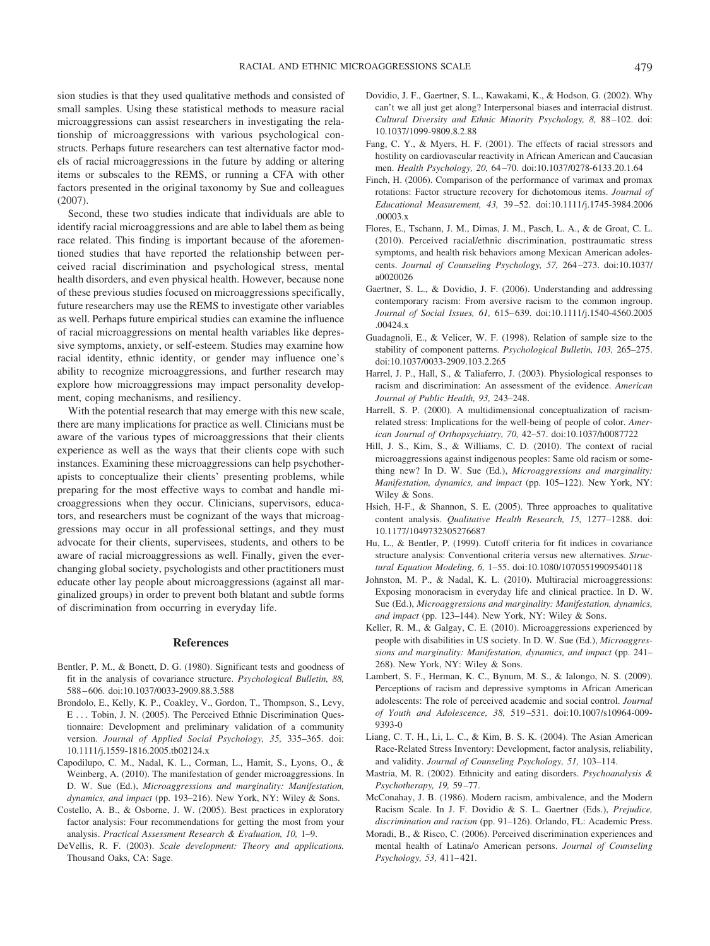sion studies is that they used qualitative methods and consisted of small samples. Using these statistical methods to measure racial microaggressions can assist researchers in investigating the relationship of microaggressions with various psychological constructs. Perhaps future researchers can test alternative factor models of racial microaggressions in the future by adding or altering items or subscales to the REMS, or running a CFA with other factors presented in the original taxonomy by Sue and colleagues (2007).

Second, these two studies indicate that individuals are able to identify racial microaggressions and are able to label them as being race related. This finding is important because of the aforementioned studies that have reported the relationship between perceived racial discrimination and psychological stress, mental health disorders, and even physical health. However, because none of these previous studies focused on microaggressions specifically, future researchers may use the REMS to investigate other variables as well. Perhaps future empirical studies can examine the influence of racial microaggressions on mental health variables like depressive symptoms, anxiety, or self-esteem. Studies may examine how racial identity, ethnic identity, or gender may influence one's ability to recognize microaggressions, and further research may explore how microaggressions may impact personality development, coping mechanisms, and resiliency.

With the potential research that may emerge with this new scale, there are many implications for practice as well. Clinicians must be aware of the various types of microaggressions that their clients experience as well as the ways that their clients cope with such instances. Examining these microaggressions can help psychotherapists to conceptualize their clients' presenting problems, while preparing for the most effective ways to combat and handle microaggressions when they occur. Clinicians, supervisors, educators, and researchers must be cognizant of the ways that microaggressions may occur in all professional settings, and they must advocate for their clients, supervisees, students, and others to be aware of racial microaggressions as well. Finally, given the everchanging global society, psychologists and other practitioners must educate other lay people about microaggressions (against all marginalized groups) in order to prevent both blatant and subtle forms of discrimination from occurring in everyday life.

## **References**

- Bentler, P. M., & Bonett, D. G. (1980). Significant tests and goodness of fit in the analysis of covariance structure. *Psychological Bulletin, 88,* 588 – 606. doi:10.1037/0033-2909.88.3.588
- Brondolo, E., Kelly, K. P., Coakley, V., Gordon, T., Thompson, S., Levy, E . . . Tobin, J. N. (2005). The Perceived Ethnic Discrimination Questionnaire: Development and preliminary validation of a community version. *Journal of Applied Social Psychology, 35,* 335–365. doi: 10.1111/j.1559-1816.2005.tb02124.x
- Capodilupo, C. M., Nadal, K. L., Corman, L., Hamit, S., Lyons, O., & Weinberg, A. (2010). The manifestation of gender microaggressions. In D. W. Sue (Ed.), *Microaggressions and marginality: Manifestation, dynamics, and impact* (pp. 193–216). New York, NY: Wiley & Sons.
- Costello, A. B., & Osborne, J. W. (2005). Best practices in exploratory factor analysis: Four recommendations for getting the most from your analysis. *Practical Assessment Research & Evaluation, 10,* 1–9.
- DeVellis, R. F. (2003). *Scale development: Theory and applications.* Thousand Oaks, CA: Sage.
- Dovidio, J. F., Gaertner, S. L., Kawakami, K., & Hodson, G. (2002). Why can't we all just get along? Interpersonal biases and interracial distrust. *Cultural Diversity and Ethnic Minority Psychology, 8,* 88 –102. doi: 10.1037/1099-9809.8.2.88
- Fang, C. Y., & Myers, H. F. (2001). The effects of racial stressors and hostility on cardiovascular reactivity in African American and Caucasian men. *Health Psychology, 20,* 64 –70. doi:10.1037/0278-6133.20.1.64
- Finch, H. (2006). Comparison of the performance of varimax and promax rotations: Factor structure recovery for dichotomous items. *Journal of Educational Measurement, 43,* 39 –52. doi:10.1111/j.1745-3984.2006 .00003.x
- Flores, E., Tschann, J. M., Dimas, J. M., Pasch, L. A., & de Groat, C. L. (2010). Perceived racial/ethnic discrimination, posttraumatic stress symptoms, and health risk behaviors among Mexican American adolescents. *Journal of Counseling Psychology, 57,* 264 –273. doi:10.1037/ a0020026
- Gaertner, S. L., & Dovidio, J. F. (2006). Understanding and addressing contemporary racism: From aversive racism to the common ingroup. *Journal of Social Issues, 61,* 615– 639. doi:10.1111/j.1540-4560.2005 .00424.x
- Guadagnoli, E., & Velicer, W. F. (1998). Relation of sample size to the stability of component patterns. *Psychological Bulletin, 103,* 265–275. doi:10.1037/0033-2909.103.2.265
- Harrel, J. P., Hall, S., & Taliaferro, J. (2003). Physiological responses to racism and discrimination: An assessment of the evidence. *American Journal of Public Health, 93,* 243–248.
- Harrell, S. P. (2000). A multidimensional conceptualization of racismrelated stress: Implications for the well-being of people of color. *American Journal of Orthopsychiatry, 70,* 42–57. doi:10.1037/h0087722
- Hill, J. S., Kim, S., & Williams, C. D. (2010). The context of racial microaggressions against indigenous peoples: Same old racism or something new? In D. W. Sue (Ed.), *Microaggressions and marginality: Manifestation, dynamics, and impact* (pp. 105–122). New York, NY: Wiley & Sons.
- Hsieh, H-F., & Shannon, S. E. (2005). Three approaches to qualitative content analysis. *Qualitative Health Research, 15,* 1277–1288. doi: 10.1177/1049732305276687
- Hu, L., & Bentler, P. (1999). Cutoff criteria for fit indices in covariance structure analysis: Conventional criteria versus new alternatives. *Structural Equation Modeling, 6,* 1–55. doi:10.1080/10705519909540118
- Johnston, M. P., & Nadal, K. L. (2010). Multiracial microaggressions: Exposing monoracism in everyday life and clinical practice. In D. W. Sue (Ed.), *Microaggressions and marginality: Manifestation, dynamics, and impact* (pp. 123–144). New York, NY: Wiley & Sons.
- Keller, R. M., & Galgay, C. E. (2010). Microaggressions experienced by people with disabilities in US society. In D. W. Sue (Ed.), *Microaggressions and marginality: Manifestation, dynamics, and impact* (pp. 241– 268). New York, NY: Wiley & Sons.
- Lambert, S. F., Herman, K. C., Bynum, M. S., & Ialongo, N. S. (2009). Perceptions of racism and depressive symptoms in African American adolescents: The role of perceived academic and social control. *Journal of Youth and Adolescence, 38,* 519 –531. doi:10.1007/s10964-009- 9393-0
- Liang, C. T. H., Li, L. C., & Kim, B. S. K. (2004). The Asian American Race-Related Stress Inventory: Development, factor analysis, reliability, and validity. *Journal of Counseling Psychology, 51,* 103–114.
- Mastria, M. R. (2002). Ethnicity and eating disorders. *Psychoanalysis & Psychotherapy, 19,* 59 –77.
- McConahay, J. B. (1986). Modern racism, ambivalence, and the Modern Racism Scale. In J. F. Dovidio & S. L. Gaertner (Eds.), *Prejudice, discrimination and racism* (pp. 91–126). Orlando, FL: Academic Press.
- Moradi, B., & Risco, C. (2006). Perceived discrimination experiences and mental health of Latina/o American persons. *Journal of Counseling Psychology, 53,* 411– 421.